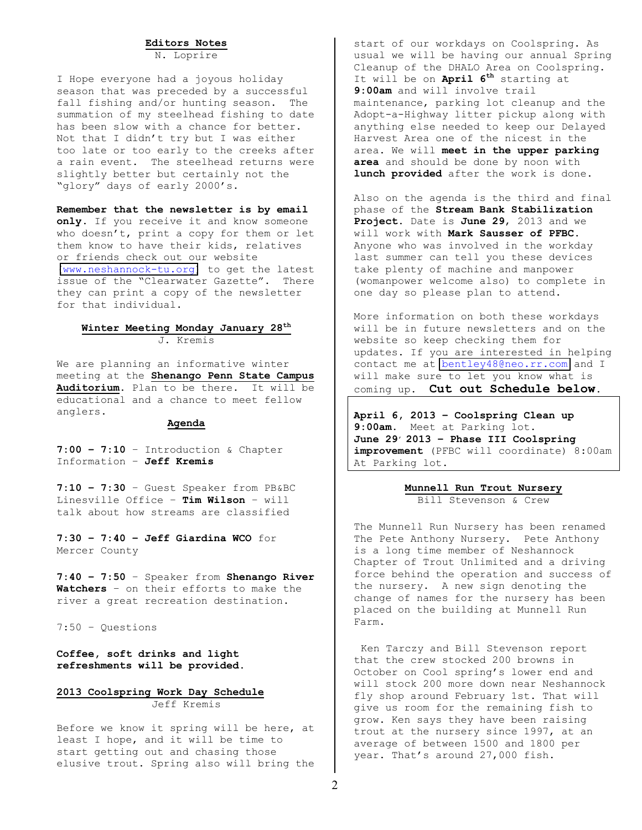#### **Editors(Notes**

N. Loprire

I Hope everyone had a joyous holiday season that was preceded by a successful fall fishing and/or hunting season. The summation of my steelhead fishing to date has been slow with a chance for better. Not that I didn't try but I was either too late or too early to the creeks after a rain event. The steelhead returns were slightly better but certainly not the "glory" days of early 2000's.

Remember that the newsletter is by email only. If you receive it and know someone who doesn't, print a copy for them or let them know to have their kids, relatives or friends check out our website (www.neshannock-tu.org) to get the latest issue of the "Clearwater Gazette". There they can print a copy of the newsletter for that individual.

#### **Winter(Meeting(Monday(January 28th** J. Kremis

We are planning an informative winter meeting at the **Shenango Penn State Campus** Auditorium. Plan to be there. It will be educational and a chance to meet fellow anglers.

#### **Agenda**

**7:00 - 7:10** - Introduction & Chapter Information - Jeff Kremis

7:10 - 7:30 - Guest Speaker from PB&BC Linesville Office - Tim Wilson - will talk about how streams are classified

**7:30(± 7:40(± Jeff(Giardina(WCO** for# Mercer County

**7:40(± 7:50** ± Speaker#from#**Shenango(River(** Watchers - on their efforts to make the river a great recreation destination.

 $7:50 -$  Questions

Coffee, soft drinks and light refreshments will be provided.

2013 Coolspring Work Day Schedule Jeff Kremis

Before we know it spring will be here, at least I hope, and it will be time to start getting out and chasing those elusive trout. Spring also will bring the start of our workdays on Coolspring. As usual we will be having our annual Spring Cleanup of the DHALO Area on Coolspring. It will be on **April 6<sup>th</sup>** starting at 9:00am and will involve trail maintenance, parking lot cleanup and the Adopt-a-Highway litter pickup along with anything else needed to keep our Delayed Harvest Area one of the nicest in the area. We will meet in the upper parking area and should be done by noon with lunch provided after the work is done.

Also on the agenda is the third and final phase of the **Stream Bank Stabilization** Project. Date is June 29, 2013 and we will work with Mark Sausser of PFBC. Anyone who was involved in the workday last summer can tell you these devices take plenty of machine and manpower (womanpower welcome also) to complete in one day so please plan to attend.

More information on both these workdays will be in future newsletters and on the website so keep checking them for updates. If you are interested in helping contact me at bentley48@neo.rr.com and I will make sure to let you know what is coming up. Cut out Schedule below.

April 6, 2013 - Coolspring Clean up 9:00am. Meet at Parking lot. June 29<sup>*,*</sup> 2013 - Phase III Coolspring improvement (PFBC will coordinate) 8:00am At Parking lot.

> **Munnell Run Trout Nursery** Bill Stevenson & Crew

The Munnell Run Nursery has been renamed The Pete Anthony Nursery. Pete Anthony is a long time member of Neshannock Chapter of Trout Unlimited and a driving force behind the operation and success of the nursery. A new sign denoting the change of names for the nursery has been placed on the building at Munnell Run Farm.

Ken Tarczy and Bill Stevenson report that the crew stocked 200 browns in October on Cool spring's lower end and will stock 200 more down near Neshannock fly shop around February 1st. That will give us room for the remaining fish to grow. Ken says they have been raising trout at the nursery since 1997, at an average of between 1500 and 1800 per year. That's around 27,000 fish.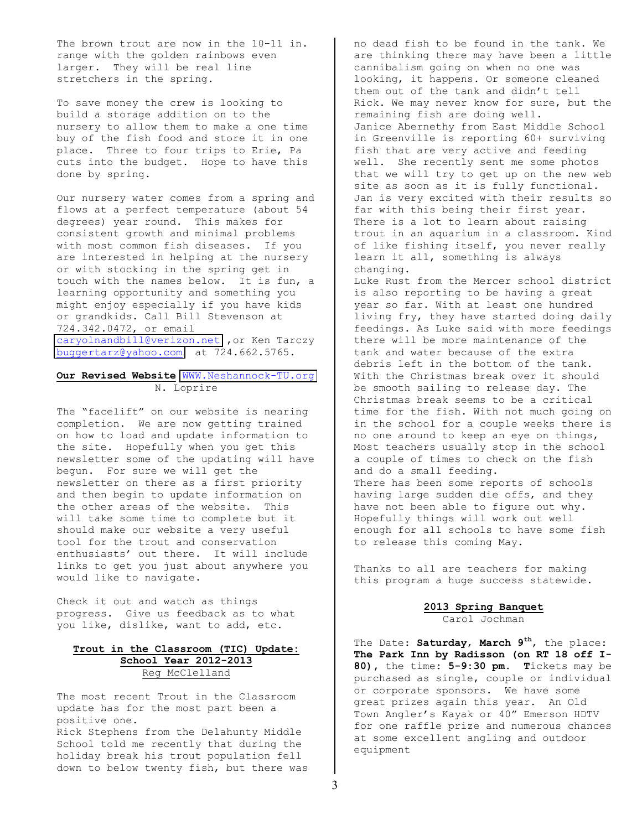The brown trout are now in the 10-11 in. range with the golden rainbows even larger. They will be real line stretchers in the spring.

To save money the crew is looking to build a storage addition on to the nursery to allow them to make a one time buy of the fish food and store it in one place. Three to four trips to Erie, Pa cuts into the budget. Hope to have this done by spring.

Our nursery water comes from a spring and flows at a perfect temperature (about 54 degrees) year round. This makes for consistent growth and minimal problems with most common fish diseases. If you are interested in helping at the nursery or with stocking in the spring get in touch with the names below. It is fun, a learning opportunity and something you might enjoy especially if you have kids or grandkids. Call Bill Stevenson at 724.342.0472, or email [caryolnandbill@verizon.net](mailto:caryolnandbill@verizon.net) , or Ken Tarczy buggertarz@yahoo.com at 724.662.5765.

# **Our Revised Website WWW.Neshannock-TU.org** N. Loprire

The "facelift" on our website is nearing completion. We are now getting trained on how to load and update information to the site. Hopefully when you get this newsletter some of the updating will have begun. For sure we will get the newsletter on there as a first priority and then begin to update information on the other areas of the website. This will take some time to complete but it should make our website a very useful tool for the trout and conservation enthusiasts' out there. It will include links to get you just about anywhere you would like to navigate.

Check it out and watch as things progress. Give us feedback as to what you like, dislike, want to add, etc.

## $Trout$  in the Classroom (TIC) Update: School Year 2012-2013 Reg McClelland

The most recent Trout in the Classroom update has for the most part been a positive one.

Rick Stephens from the Delahunty Middle School told me recently that during the holiday break his trout population fell down to below twenty fish, but there was no dead fish to be found in the tank. We are thinking there may have been a little cannibalism going on when no one was looking, it happens. Or someone cleaned them out of the tank and didn't tell Rick. We may never know for sure, but the remaining fish are doing well. Janice Abernethy from East Middle School in Greenville is reporting 60+ surviving fish that are very active and feeding well. She recently sent me some photos that we will try to get up on the new web site as soon as it is fully functional. Jan is very excited with their results so far with this being their first year. There is a lot to learn about raising trout in an aquarium in a classroom. Kind of like fishing itself, you never really learn it all, something is always changing. Luke Rust from the Mercer school district is also reporting to be having a great year so far. With at least one hundred living fry, they have started doing daily

feedings. As Luke said with more feedings there will be more maintenance of the tank and water because of the extra debris left in the bottom of the tank. With the Christmas break over it should be smooth sailing to release day. The Christmas break seems to be a critical time for the fish. With not much going on in the school for a couple weeks there is no one around to keep an eye on things, Most teachers usually stop in the school a couple of times to check on the fish and do a small feeding. There has been some reports of schools having large sudden die offs, and they have not been able to figure out why. Hopefully things will work out well enough for all schools to have some fish to release this coming May.

Thanks to all are teachers for making this program a huge success statewide.

> **2013(Spring(Banquet** Carol Jochman

The Date: Saturday, March 9<sup>th</sup>, the place: The Park Inn by Radisson (on RT 18 off I-80), the time: 5-9:30 pm. Tickets may be purchased as single, couple or individual or corporate sponsors. We have some great prizes again this year. An Old Town Angler's Kayak or 40" Emerson HDTV for one raffle prize and numerous chances at some excellent angling and outdoor equipment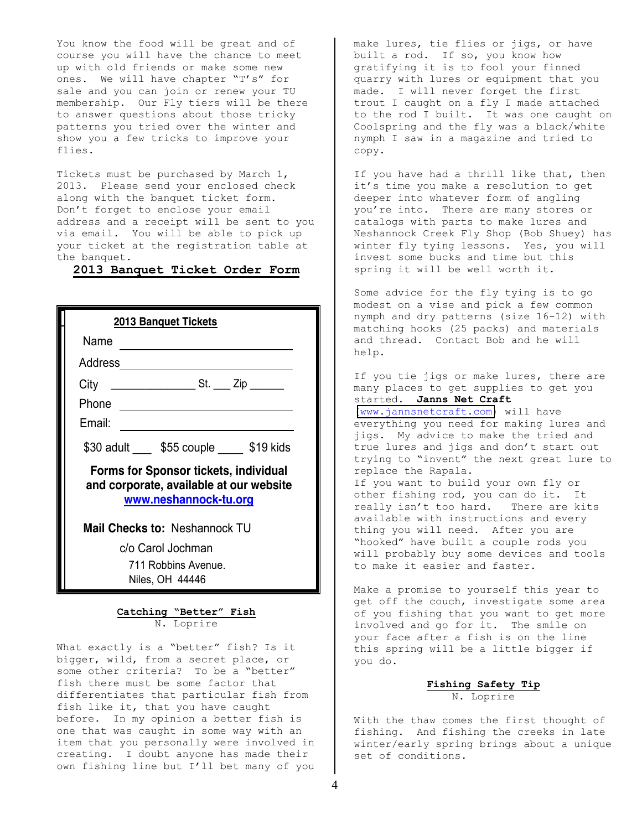You know the food will be great and of course you will have the chance to meet up with old friends or make some new ones. We will have chapter "T's" for sale and you can join or renew your TU membership. Our Fly tiers will be there to answer questions about those tricky patterns you tried over the winter and show you a few tricks to improve your flies.

Tickets must be purchased by March  $1,$ 2013. Please send your enclosed check along with the banquet ticket form. Don't forget to enclose your email address and a receipt will be sent to you via email. You will be able to pick up your ticket at the registration table at the banquet.

# 2013 Banquet Ticket Order Form

| <b>2013 Banquet Tickets</b>                                                                                      |                                                             |  |
|------------------------------------------------------------------------------------------------------------------|-------------------------------------------------------------|--|
| Name                                                                                                             |                                                             |  |
| Address                                                                                                          |                                                             |  |
|                                                                                                                  |                                                             |  |
|                                                                                                                  | Phone <u>experience</u>                                     |  |
| Email:                                                                                                           | the control of the control of the control of the control of |  |
|                                                                                                                  | \$30 adult \$55 couple \$19 kids                            |  |
| <b>Forms for Sponsor tickets, individual</b><br>and corporate, available at our website<br>www.neshannock-tu.org |                                                             |  |
| Mail Checks to: Neshannock TU                                                                                    |                                                             |  |
| c/o Carol Jochman                                                                                                |                                                             |  |
| 711 Robbins Avenue.                                                                                              |                                                             |  |
| Niles, OH 44446                                                                                                  |                                                             |  |

# Catching "Better" Fish N. Loprire

What exactly is a "better" fish? Is it bigger, wild, from a secret place, or some other criteria? To be a "better" fish there must be some factor that differentiates that particular fish from fish like it, that you have caught before. In my opinion a better fish is one that was caught in some way with an item that you personally were involved in creating. I doubt anyone has made their own fishing line but I'll bet many of you

make lures, tie flies or jigs, or have built a rod. If so, you know how gratifying it is to fool your finned quarry with lures or equipment that you made. I will never forget the first trout I caught on a fly I made attached to the rod I built. It was one caught on Coolspring and the fly was a black/white nymph I saw in a magazine and tried to copy.

If you have had a thrill like that, then it's time you make a resolution to get deeper into whatever form of angling you're into. There are many stores or catalogs with parts to make lures and Neshannock Creek Fly Shop (Bob Shuey) has winter fly tying lessons. Yes, you will invest some bucks and time but this spring it will be well worth it.

Some advice for the fly tying is to go modest on a vise and pick a few common nymph and dry patterns (size 16-12) with matching hooks (25 packs) and materials and thread. Contact Bob and he will help.

If you tie jigs or make lures, there are many places to get supplies to get you started. Janns Net Craft  $(www.jannsnetcraft.com) will have$  $(www.jannsnetcraft.com) will have$ everything you need for making lures and jigs. My advice to make the tried and true lures and jigs and don't start out trying to "invent" the next great lure to replace the Rapala. If you want to build your own fly or other fishing rod, you can do it. It really isn't too hard. There are kits available with instructions and every thing you will need. After you are "hooked" have built a couple rods you will probably buy some devices and tools to make it easier and faster.

Make a promise to yourself this year to get off the couch, investigate some area of you fishing that you want to get more involved and go for it. The smile on your face after a fish is on the line this spring will be a little bigger if you do.

### Fishing Safety Tip N. Loprire

With the thaw comes the first thought of fishing. And fishing the creeks in late winter/early spring brings about a unique set of conditions.